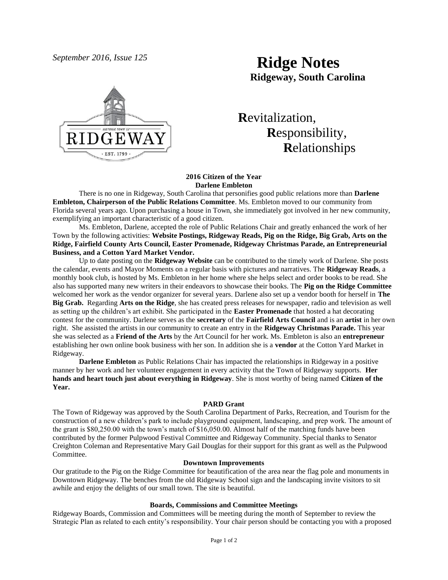# *September 2016, Issue 125* **Ridge Notes Ridgeway, South Carolina**



# **R**evitalization,  **R**esponsibility,  **R**elationships

### **2016 Citizen of the Year Darlene Embleton**

There is no one in Ridgeway, South Carolina that personifies good public relations more than **Darlene Embleton, Chairperson of the Public Relations Committee**. Ms. Embleton moved to our community from Florida several years ago. Upon purchasing a house in Town, she immediately got involved in her new community, exemplifying an important characteristic of a good citizen.

Ms. Embleton, Darlene, accepted the role of Public Relations Chair and greatly enhanced the work of her Town by the following activities: **Website Postings, Ridgeway Reads, Pig on the Ridge, Big Grab, Arts on the Ridge, Fairfield County Arts Council, Easter Promenade, Ridgeway Christmas Parade, an Entrepreneurial Business, and a Cotton Yard Market Vendor.**

Up to date posting on the **Ridgeway Website** can be contributed to the timely work of Darlene. She posts the calendar, events and Mayor Moments on a regular basis with pictures and narratives. The **Ridgeway Reads**, a monthly book club, is hosted by Ms. Embleton in her home where she helps select and order books to be read. She also has supported many new writers in their endeavors to showcase their books. The **Pig on the Ridge Committee** welcomed her work as the vendor organizer for several years. Darlene also set up a vendor booth for herself in **The Big Grab.** Regarding **Arts on the Ridge**, she has created press releases for newspaper, radio and television as well as setting up the children's art exhibit. She participated in the **Easter Promenade** that hosted a hat decorating contest for the community. Darlene serves as the **secretary** of the **Fairfield Arts Council** and is an **artist** in her own right. She assisted the artists in our community to create an entry in the **Ridgeway Christmas Parade.** This year she was selected as a **Friend of the Arts** by the Art Council for her work. Ms. Embleton is also an **entrepreneur** establishing her own online book business with her son. In addition she is a **vendor** at the Cotton Yard Market in Ridgeway.

**Darlene Embleton** as Public Relations Chair has impacted the relationships in Ridgeway in a positive manner by her work and her volunteer engagement in every activity that the Town of Ridgeway supports. **Her hands and heart touch just about everything in Ridgeway**. She is most worthy of being named **Citizen of the Year.**

#### **PARD Grant**

The Town of Ridgeway was approved by the South Carolina Department of Parks, Recreation, and Tourism for the construction of a new children's park to include playground equipment, landscaping, and prep work. The amount of the grant is \$80,250.00 with the town's match of \$16,050.00. Almost half of the matching funds have been contributed by the former Pulpwood Festival Committee and Ridgeway Community. Special thanks to Senator Creighton Coleman and Representative Mary Gail Douglas for their support for this grant as well as the Pulpwood Committee.

#### **Downtown Improvements**

Our gratitude to the Pig on the Ridge Committee for beautification of the area near the flag pole and monuments in Downtown Ridgeway. The benches from the old Ridgeway School sign and the landscaping invite visitors to sit awhile and enjoy the delights of our small town. The site is beautiful.

## **Boards, Commissions and Committee Meetings**

Ridgeway Boards, Commission and Committees will be meeting during the month of September to review the Strategic Plan as related to each entity's responsibility. Your chair person should be contacting you with a proposed